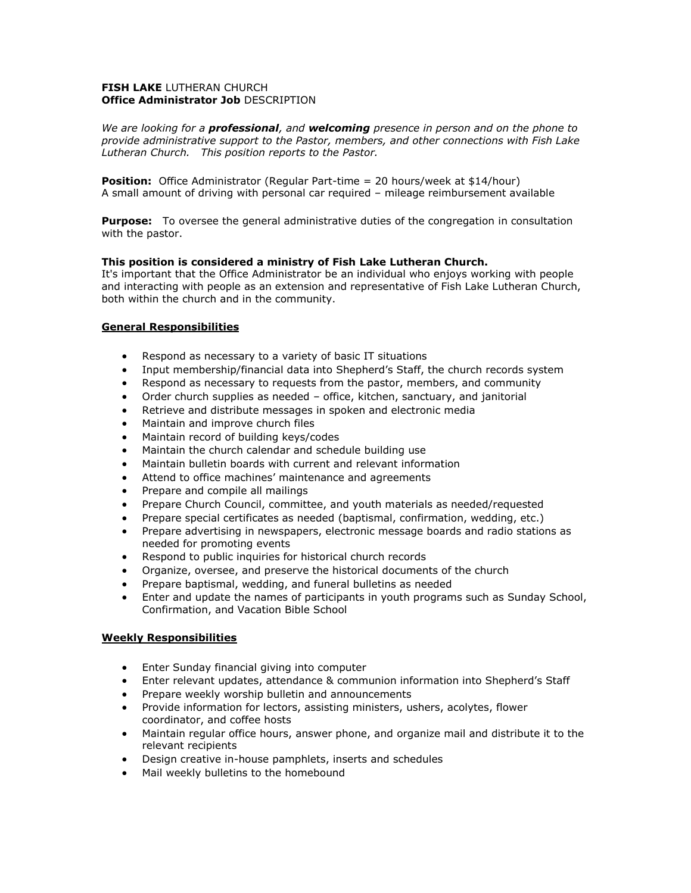#### **FISH LAKE** LUTHERAN CHURCH **Office Administrator Job** DESCRIPTION

*We are looking for a professional, and welcoming presence in person and on the phone to provide administrative support to the Pastor, members, and other connections with Fish Lake Lutheran Church. This position reports to the Pastor.*

**Position:** Office Administrator (Regular Part-time = 20 hours/week at \$14/hour) A small amount of driving with personal car required – mileage reimbursement available

**Purpose:** To oversee the general administrative duties of the congregation in consultation with the pastor.

### **This position is considered a ministry of Fish Lake Lutheran Church.**

It's important that the Office Administrator be an individual who enjoys working with people and interacting with people as an extension and representative of Fish Lake Lutheran Church, both within the church and in the community.

### **General Responsibilities**

- Respond as necessary to a variety of basic IT situations
- Input membership/financial data into Shepherd's Staff, the church records system
- Respond as necessary to requests from the pastor, members, and community
- Order church supplies as needed office, kitchen, sanctuary, and janitorial
- Retrieve and distribute messages in spoken and electronic media
- Maintain and improve church files
- Maintain record of building keys/codes
- Maintain the church calendar and schedule building use
- Maintain bulletin boards with current and relevant information
- Attend to office machines' maintenance and agreements
- Prepare and compile all mailings
- Prepare Church Council, committee, and youth materials as needed/requested
- Prepare special certificates as needed (baptismal, confirmation, wedding, etc.)
- Prepare advertising in newspapers, electronic message boards and radio stations as needed for promoting events
- Respond to public inquiries for historical church records
- Organize, oversee, and preserve the historical documents of the church
- Prepare baptismal, wedding, and funeral bulletins as needed
- Enter and update the names of participants in youth programs such as Sunday School, Confirmation, and Vacation Bible School

### **Weekly Responsibilities**

- Enter Sunday financial giving into computer
- Enter relevant updates, attendance & communion information into Shepherd's Staff
- Prepare weekly worship bulletin and announcements
- Provide information for lectors, assisting ministers, ushers, acolytes, flower coordinator, and coffee hosts
- Maintain regular office hours, answer phone, and organize mail and distribute it to the relevant recipients
- Design creative in-house pamphlets, inserts and schedules
- Mail weekly bulletins to the homebound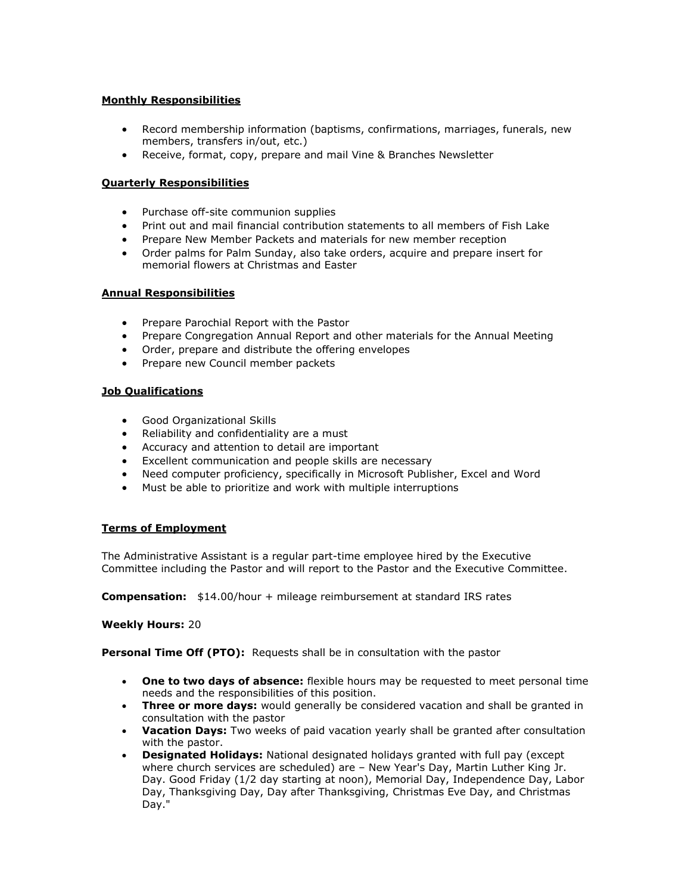### **Monthly Responsibilities**

- Record membership information (baptisms, confirmations, marriages, funerals, new members, transfers in/out, etc.)
- Receive, format, copy, prepare and mail Vine & Branches Newsletter

## **Quarterly Responsibilities**

- Purchase off-site communion supplies
- Print out and mail financial contribution statements to all members of Fish Lake
- Prepare New Member Packets and materials for new member reception
- Order palms for Palm Sunday, also take orders, acquire and prepare insert for memorial flowers at Christmas and Easter

### **Annual Responsibilities**

- Prepare Parochial Report with the Pastor
- Prepare Congregation Annual Report and other materials for the Annual Meeting
- Order, prepare and distribute the offering envelopes
- Prepare new Council member packets

### **Job Qualifications**

- Good Organizational Skills
- Reliability and confidentiality are a must
- Accuracy and attention to detail are important
- Excellent communication and people skills are necessary
- Need computer proficiency, specifically in Microsoft Publisher, Excel and Word
- Must be able to prioritize and work with multiple interruptions

### **Terms of Employment**

The Administrative Assistant is a regular part-time employee hired by the Executive Committee including the Pastor and will report to the Pastor and the Executive Committee.

**Compensation:** \$14.00/hour + mileage reimbursement at standard IRS rates

### **Weekly Hours:** 20

**Personal Time Off (PTO):** Requests shall be in consultation with the pastor

- **One to two days of absence:** flexible hours may be requested to meet personal time needs and the responsibilities of this position.
- **Three or more days:** would generally be considered vacation and shall be granted in consultation with the pastor
- **Vacation Days:** Two weeks of paid vacation yearly shall be granted after consultation with the pastor.
- **Designated Holidays:** National designated holidays granted with full pay (except where church services are scheduled) are – New Year's Day, Martin Luther King Jr. Day. Good Friday (1/2 day starting at noon), Memorial Day, Independence Day, Labor Day, Thanksgiving Day, Day after Thanksgiving, Christmas Eve Day, and Christmas Day."